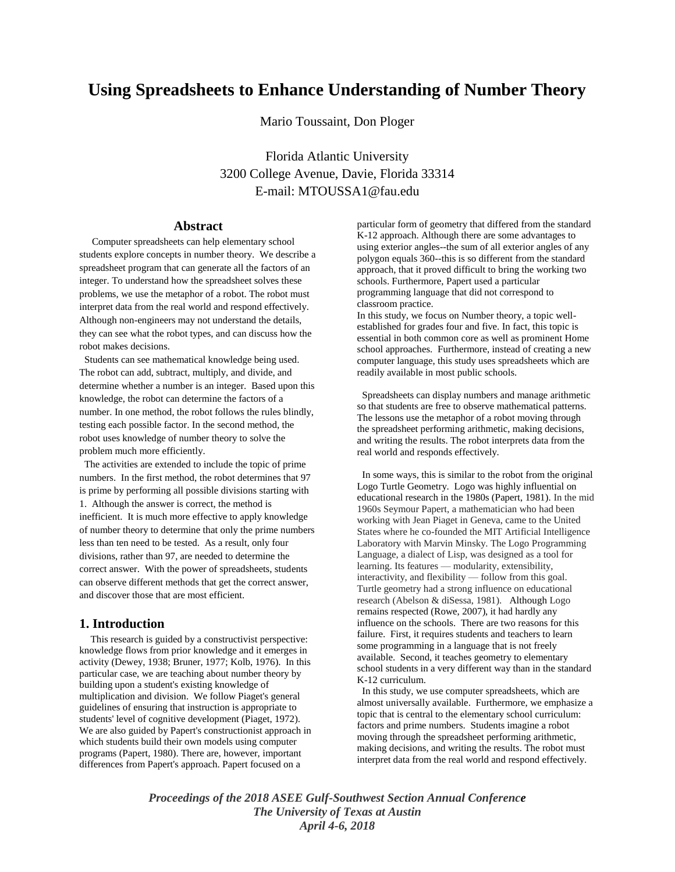# **Using Spreadsheets to Enhance Understanding of Number Theory**

Mario Toussaint, Don Ploger

Florida Atlantic University 3200 College Avenue, Davie, Florida 33314 E-mail: MTOUSSA1@fau.edu

# **Abstract**

 Computer spreadsheets can help elementary school students explore concepts in number theory. We describe a spreadsheet program that can generate all the factors of an integer. To understand how the spreadsheet solves these problems, we use the metaphor of a robot. The robot must interpret data from the real world and respond effectively. Although non-engineers may not understand the details, they can see what the robot types, and can discuss how the robot makes decisions.

 Students can see mathematical knowledge being used. The robot can add, subtract, multiply, and divide, and determine whether a number is an integer. Based upon this knowledge, the robot can determine the factors of a number. In one method, the robot follows the rules blindly, testing each possible factor. In the second method, the robot uses knowledge of number theory to solve the problem much more efficiently.

 The activities are extended to include the topic of prime numbers. In the first method, the robot determines that 97 is prime by performing all possible divisions starting with 1. Although the answer is correct, the method is inefficient. It is much more effective to apply knowledge of number theory to determine that only the prime numbers less than ten need to be tested. As a result, only four divisions, rather than 97, are needed to determine the correct answer. With the power of spreadsheets, students can observe different methods that get the correct answer, and discover those that are most efficient.

# **1. Introduction**

 This research is guided by a constructivist perspective: knowledge flows from prior knowledge and it emerges in activity (Dewey, 1938; Bruner, 1977; Kolb, 1976). In this particular case, we are teaching about number theory by building upon a student's existing knowledge of multiplication and division. We follow Piaget's general guidelines of ensuring that instruction is appropriate to students' level of cognitive development (Piaget, 1972). We are also guided by Papert's constructionist approach in which students build their own models using computer programs (Papert, 1980). There are, however, important differences from Papert's approach. Papert focused on a

particular form of geometry that differed from the standard K-12 approach. Although there are some advantages to using exterior angles--the sum of all exterior angles of any polygon equals 360--this is so different from the standard approach, that it proved difficult to bring the working two schools. Furthermore, Papert used a particular programming language that did not correspond to classroom practice.

In this study, we focus on Number theory, a topic wellestablished for grades four and five. In fact, this topic is essential in both common core as well as prominent Home school approaches. Furthermore, instead of creating a new computer language, this study uses spreadsheets which are readily available in most public schools.

 Spreadsheets can display numbers and manage arithmetic so that students are free to observe mathematical patterns. The lessons use the metaphor of a robot moving through the spreadsheet performing arithmetic, making decisions, and writing the results. The robot interprets data from the real world and responds effectively.

 In some ways, this is similar to the robot from the original Logo Turtle Geometry. Logo was highly influential on educational research in the 1980s (Papert, 1981). In the mid 1960s Seymour Papert, a mathematician who had been working with Jean Piaget in Geneva, came to the United States where he co-founded the MIT Artificial Intelligence Laboratory with Marvin Minsky. The Logo Programming Language, a dialect of Lisp, was designed as a tool for learning. Its features — modularity, extensibility, interactivity, and flexibility — follow from this goal. Turtle geometry had a strong influence on educational research (Abelson & diSessa, 1981). Although Logo remains respected (Rowe, 2007), it had hardly any influence on the schools. There are two reasons for this failure. First, it requires students and teachers to learn some programming in a language that is not freely available. Second, it teaches geometry to elementary school students in a very different way than in the standard K-12 curriculum.

 In this study, we use computer spreadsheets, which are almost universally available. Furthermore, we emphasize a topic that is central to the elementary school curriculum: factors and prime numbers. Students imagine a robot moving through the spreadsheet performing arithmetic, making decisions, and writing the results. The robot must interpret data from the real world and respond effectively.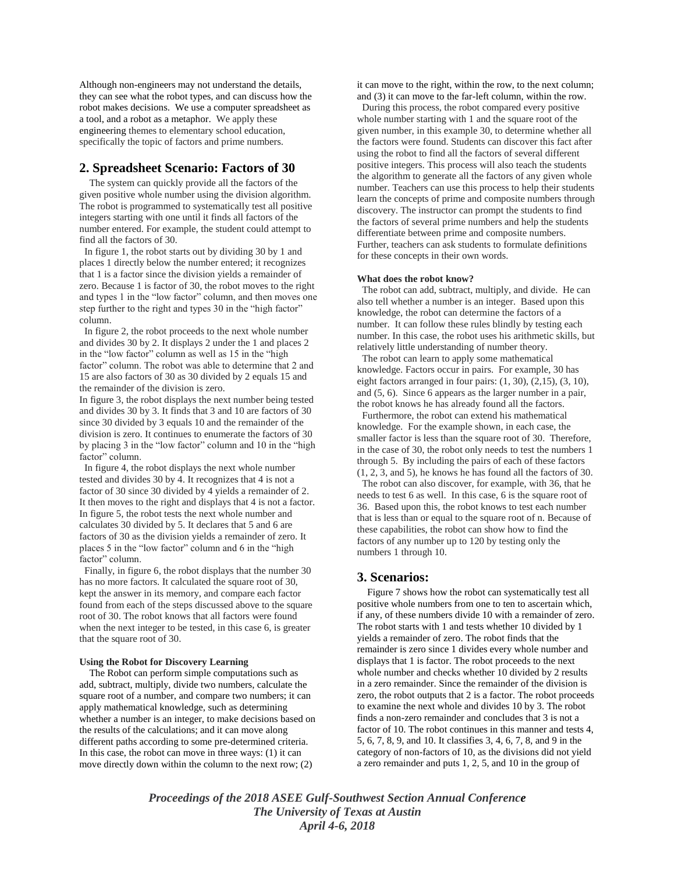Although non-engineers may not understand the details, they can see what the robot types, and can discuss how the robot makes decisions. We use a computer spreadsheet as a tool, and a robot as a metaphor. We apply these engineering themes to elementary school education, specifically the topic of factors and prime numbers.

## **2. Spreadsheet Scenario: Factors of 30**

 The system can quickly provide all the factors of the given positive whole number using the division algorithm. The robot is programmed to systematically test all positive integers starting with one until it finds all factors of the number entered. For example, the student could attempt to find all the factors of 30.

 In figure 1, the robot starts out by dividing 30 by 1 and places 1 directly below the number entered; it recognizes that 1 is a factor since the division yields a remainder of zero. Because 1 is factor of 30, the robot moves to the right and types 1 in the "low factor" column, and then moves one step further to the right and types 30 in the "high factor" column.

 In figure 2, the robot proceeds to the next whole number and divides 30 by 2. It displays 2 under the 1 and places 2 in the "low factor" column as well as 15 in the "high factor" column. The robot was able to determine that 2 and 15 are also factors of 30 as 30 divided by 2 equals 15 and the remainder of the division is zero.

In figure 3, the robot displays the next number being tested and divides 30 by 3. It finds that 3 and 10 are factors of 30 since 30 divided by 3 equals 10 and the remainder of the division is zero. It continues to enumerate the factors of 30 by placing 3 in the "low factor" column and 10 in the "high factor" column.

 In figure 4, the robot displays the next whole number tested and divides 30 by 4. It recognizes that 4 is not a factor of 30 since 30 divided by 4 yields a remainder of 2. It then moves to the right and displays that 4 is not a factor. In figure 5, the robot tests the next whole number and calculates 30 divided by 5. It declares that 5 and 6 are factors of 30 as the division yields a remainder of zero. It places 5 in the "low factor" column and 6 in the "high factor" column.

 Finally, in figure 6, the robot displays that the number 30 has no more factors. It calculated the square root of 30, kept the answer in its memory, and compare each factor found from each of the steps discussed above to the square root of 30. The robot knows that all factors were found when the next integer to be tested, in this case 6, is greater that the square root of 30.

### **Using the Robot for Discovery Learning**

 The Robot can perform simple computations such as add, subtract, multiply, divide two numbers, calculate the square root of a number, and compare two numbers; it can apply mathematical knowledge, such as determining whether a number is an integer, to make decisions based on the results of the calculations; and it can move along different paths according to some pre-determined criteria. In this case, the robot can move in three ways: (1) it can move directly down within the column to the next row; (2)

it can move to the right, within the row, to the next column; and (3) it can move to the far-left column, within the row. During this process, the robot compared every positive whole number starting with 1 and the square root of the given number, in this example 30, to determine whether all the factors were found. Students can discover this fact after using the robot to find all the factors of several different positive integers. This process will also teach the students the algorithm to generate all the factors of any given whole number. Teachers can use this process to help their students learn the concepts of prime and composite numbers through discovery. The instructor can prompt the students to find the factors of several prime numbers and help the students differentiate between prime and composite numbers. Further, teachers can ask students to formulate definitions for these concepts in their own words.

#### **What does the robot know?**

 The robot can add, subtract, multiply, and divide. He can also tell whether a number is an integer. Based upon this knowledge, the robot can determine the factors of a number. It can follow these rules blindly by testing each number. In this case, the robot uses his arithmetic skills, but relatively little understanding of number theory.

 The robot can learn to apply some mathematical knowledge. Factors occur in pairs. For example, 30 has eight factors arranged in four pairs:  $(1, 30)$ ,  $(2, 15)$ ,  $(3, 10)$ , and (5, 6). Since 6 appears as the larger number in a pair, the robot knows he has already found all the factors.

 Furthermore, the robot can extend his mathematical knowledge. For the example shown, in each case, the smaller factor is less than the square root of 30. Therefore, in the case of 30, the robot only needs to test the numbers 1 through 5. By including the pairs of each of these factors (1, 2, 3, and 5), he knows he has found all the factors of 30.

 The robot can also discover, for example, with 36, that he needs to test 6 as well. In this case, 6 is the square root of 36. Based upon this, the robot knows to test each number that is less than or equal to the square root of n. Because of these capabilities, the robot can show how to find the factors of any number up to 120 by testing only the numbers 1 through 10.

## **3. Scenarios:**

 Figure 7 shows how the robot can systematically test all positive whole numbers from one to ten to ascertain which, if any, of these numbers divide 10 with a remainder of zero. The robot starts with 1 and tests whether 10 divided by 1 yields a remainder of zero. The robot finds that the remainder is zero since 1 divides every whole number and displays that 1 is factor. The robot proceeds to the next whole number and checks whether 10 divided by 2 results in a zero remainder. Since the remainder of the division is zero, the robot outputs that 2 is a factor. The robot proceeds to examine the next whole and divides 10 by 3. The robot finds a non-zero remainder and concludes that 3 is not a factor of 10. The robot continues in this manner and tests 4, 5, 6, 7, 8, 9, and 10. It classifies 3, 4, 6, 7, 8, and 9 in the category of non-factors of 10, as the divisions did not yield a zero remainder and puts 1, 2, 5, and 10 in the group of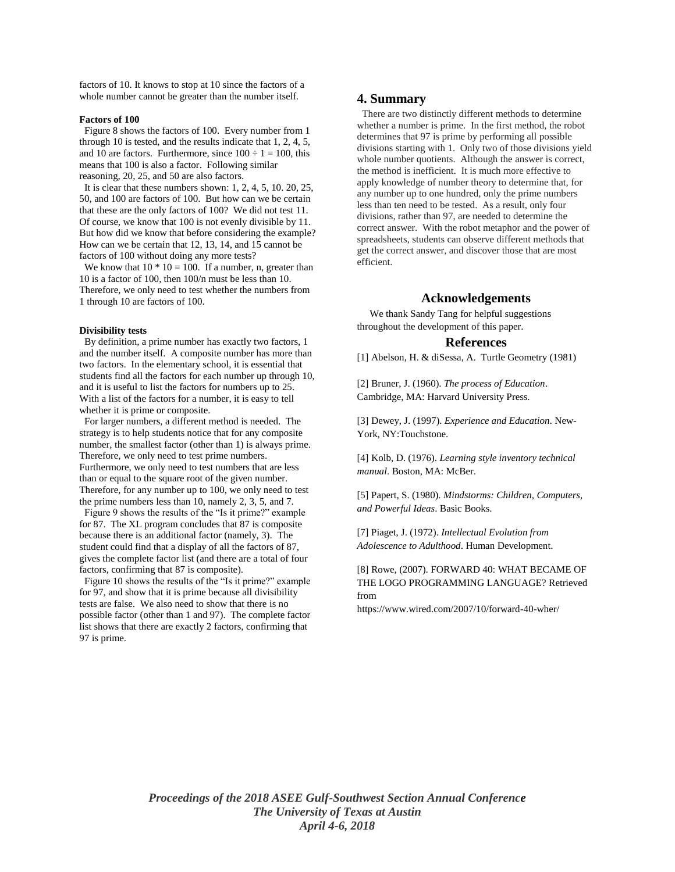factors of 10. It knows to stop at 10 since the factors of a whole number cannot be greater than the number itself.

#### **Factors of 100**

 Figure 8 shows the factors of 100. Every number from 1 through 10 is tested, and the results indicate that 1, 2, 4, 5, and 10 are factors. Furthermore, since  $100 \div 1 = 100$ , this means that 100 is also a factor. Following similar reasoning, 20, 25, and 50 are also factors.

 It is clear that these numbers shown: 1, 2, 4, 5, 10. 20, 25, 50, and 100 are factors of 100. But how can we be certain that these are the only factors of 100? We did not test 11. Of course, we know that 100 is not evenly divisible by 11. But how did we know that before considering the example? How can we be certain that 12, 13, 14, and 15 cannot be factors of 100 without doing any more tests?

We know that  $10 * 10 = 100$ . If a number, n, greater than 10 is a factor of 100, then 100/n must be less than 10. Therefore, we only need to test whether the numbers from 1 through 10 are factors of 100.

#### **Divisibility tests**

 By definition, a prime number has exactly two factors, 1 and the number itself. A composite number has more than two factors. In the elementary school, it is essential that students find all the factors for each number up through 10, and it is useful to list the factors for numbers up to 25. With a list of the factors for a number, it is easy to tell whether it is prime or composite.

 For larger numbers, a different method is needed. The strategy is to help students notice that for any composite number, the smallest factor (other than 1) is always prime. Therefore, we only need to test prime numbers. Furthermore, we only need to test numbers that are less than or equal to the square root of the given number. Therefore, for any number up to 100, we only need to test the prime numbers less than 10, namely 2, 3, 5, and 7.

 Figure 9 shows the results of the "Is it prime?" example for 87. The XL program concludes that 87 is composite because there is an additional factor (namely, 3). The student could find that a display of all the factors of 87, gives the complete factor list (and there are a total of four factors, confirming that 87 is composite).

 Figure 10 shows the results of the "Is it prime?" example for 97, and show that it is prime because all divisibility tests are false. We also need to show that there is no possible factor (other than 1 and 97). The complete factor list shows that there are exactly 2 factors, confirming that 97 is prime.

## **4. Summary**

 There are two distinctly different methods to determine whether a number is prime. In the first method, the robot determines that 97 is prime by performing all possible divisions starting with 1. Only two of those divisions yield whole number quotients. Although the answer is correct, the method is inefficient. It is much more effective to apply knowledge of number theory to determine that, for any number up to one hundred, only the prime numbers less than ten need to be tested. As a result, only four divisions, rather than 97, are needed to determine the correct answer. With the robot metaphor and the power of spreadsheets, students can observe different methods that get the correct answer, and discover those that are most efficient.

## **Acknowledgements**

 We thank Sandy Tang for helpful suggestions throughout the development of this paper.

#### **References**

[1] Abelson, H. & diSessa, A. Turtle Geometry (1981)

[2] Bruner, J. (1960). *The process of Education*. Cambridge, MA: Harvard University Press.

[3] Dewey, J. (1997). *Experience and Education*. New-York, NY:Touchstone.

[4] Kolb, D. (1976). *Learning style inventory technical manual*. Boston, MA: McBer.

[5] Papert, S. (1980). *Mindstorms: Children, Computers, and Powerful Ideas*. Basic Books.

[7] Piaget, J. (1972). *Intellectual Evolution from Adolescence to Adulthood*. Human Development.

[8] Rowe, (2007). FORWARD 40: WHAT BECAME OF THE LOGO PROGRAMMING LANGUAGE? Retrieved from

https://www.wired.com/2007/10/forward-40-wher/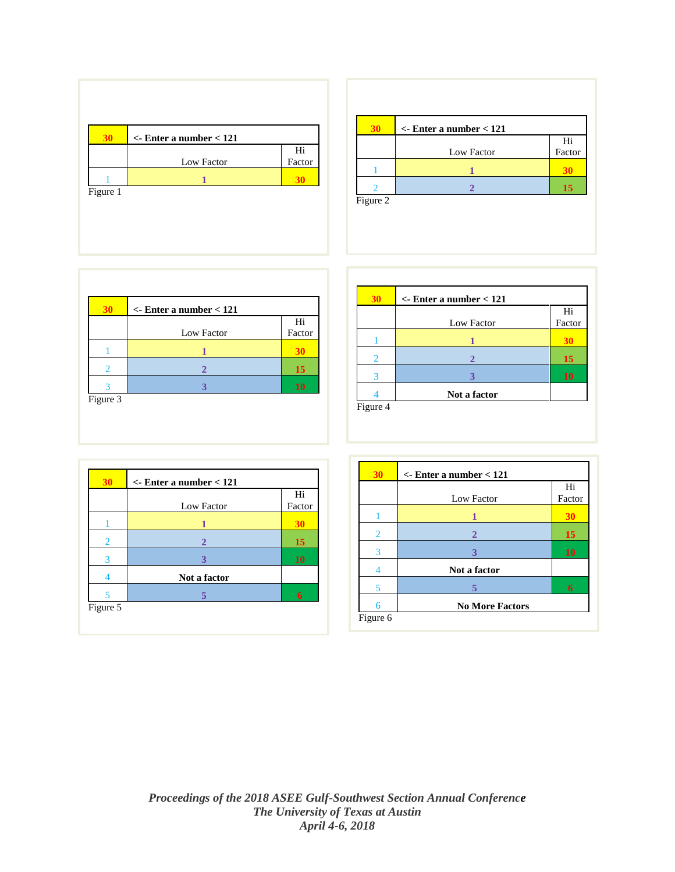

|          | $\epsilon$ -Enter a number $< 121$ |        |
|----------|------------------------------------|--------|
|          |                                    | Hi     |
|          | Low Factor                         | Factor |
|          |                                    |        |
|          |                                    | 15     |
| Figure 2 |                                    |        |

| $\epsilon$ - Enter a number $< 121$ |        |
|-------------------------------------|--------|
|                                     | Hi     |
| Low Factor                          | Factor |
|                                     |        |
|                                     | 15     |
|                                     | 10     |

| 30       | $\epsilon$ - Enter a number $< 121$ |           |
|----------|-------------------------------------|-----------|
|          |                                     | Hi        |
|          | Low Factor                          | Factor    |
|          |                                     |           |
| 2        | 2                                   | 15        |
| 3        | 3                                   | <b>10</b> |
|          | Not a factor                        |           |
| Figure 4 |                                     |           |

| 30 | $\epsilon$ - Enter a number $< 121$ | Hi        |
|----|-------------------------------------|-----------|
|    | Low Factor                          | Factor    |
|    |                                     | 30        |
| 2  | $\overline{2}$                      | 15        |
| 3  | 3                                   | <b>10</b> |
|    | Not a factor                        |           |
| 5  |                                     | 6         |

| 30                      | $\epsilon$ - Enter a number $< 121$ |        |
|-------------------------|-------------------------------------|--------|
|                         |                                     | Hi     |
|                         | Low Factor                          | Factor |
|                         |                                     | 30     |
| $\overline{2}$          | 2                                   | 15     |
| 3                       | 3                                   | 10     |
| 4                       | Not a factor                        |        |
| $\overline{\mathbf{5}}$ |                                     | 6      |
| 6                       | <b>No More Factors</b>              |        |
| Figure 6                |                                     |        |